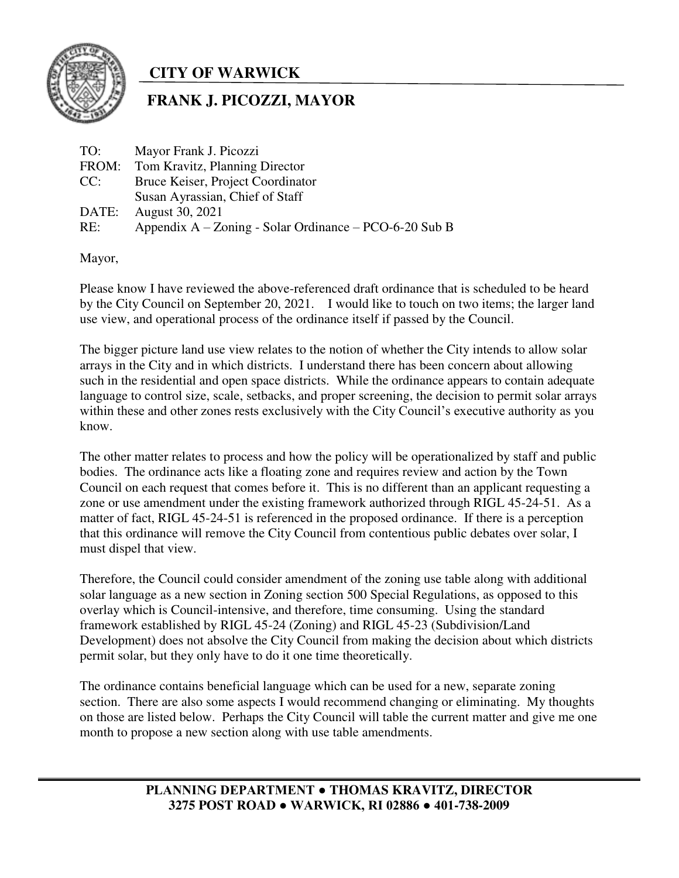

## **CITY OF WARWICK**

## **FRANK J. PICOZZI, MAYOR**

| TO:   | Mayor Frank J. Picozzi                                   |
|-------|----------------------------------------------------------|
| FROM: | Tom Kravitz, Planning Director                           |
| CC:   | Bruce Keiser, Project Coordinator                        |
|       | Susan Ayrassian, Chief of Staff                          |
| DATE: | August 30, 2021                                          |
| RE:   | Appendix $A - Zoning - Solar Ordinance - PCO-6-20 Sub B$ |

Mayor,

Please know I have reviewed the above-referenced draft ordinance that is scheduled to be heard by the City Council on September 20, 2021. I would like to touch on two items; the larger land use view, and operational process of the ordinance itself if passed by the Council.

The bigger picture land use view relates to the notion of whether the City intends to allow solar arrays in the City and in which districts. I understand there has been concern about allowing such in the residential and open space districts. While the ordinance appears to contain adequate language to control size, scale, setbacks, and proper screening, the decision to permit solar arrays within these and other zones rests exclusively with the City Council's executive authority as you know.

The other matter relates to process and how the policy will be operationalized by staff and public bodies. The ordinance acts like a floating zone and requires review and action by the Town Council on each request that comes before it. This is no different than an applicant requesting a zone or use amendment under the existing framework authorized through RIGL 45-24-51. As a matter of fact, RIGL 45-24-51 is referenced in the proposed ordinance. If there is a perception that this ordinance will remove the City Council from contentious public debates over solar, I must dispel that view.

Therefore, the Council could consider amendment of the zoning use table along with additional solar language as a new section in Zoning section 500 Special Regulations, as opposed to this overlay which is Council-intensive, and therefore, time consuming. Using the standard framework established by RIGL 45-24 (Zoning) and RIGL 45-23 (Subdivision/Land Development) does not absolve the City Council from making the decision about which districts permit solar, but they only have to do it one time theoretically.

The ordinance contains beneficial language which can be used for a new, separate zoning section. There are also some aspects I would recommend changing or eliminating. My thoughts on those are listed below. Perhaps the City Council will table the current matter and give me one month to propose a new section along with use table amendments.